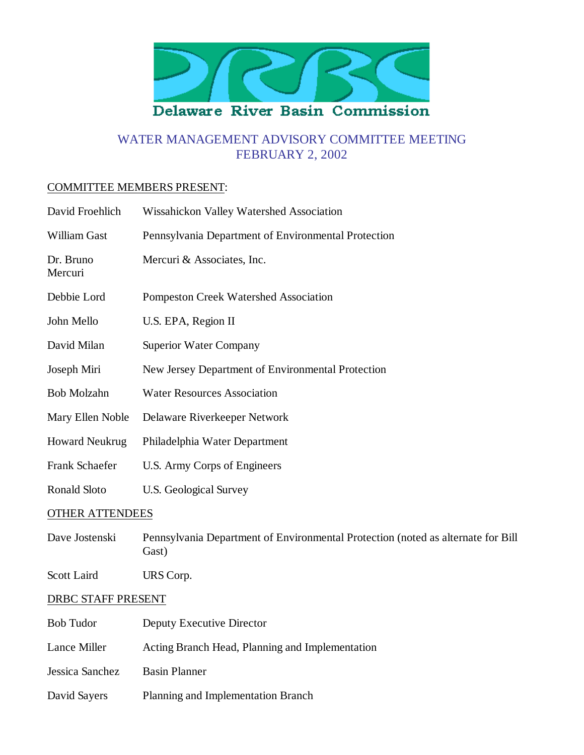

# WATER MANAGEMENT ADVISORY COMMITTEE MEETING FEBRUARY 2, 2002

#### COMMITTEE MEMBERS PRESENT:

| David Froehlich        | Wissahickon Valley Watershed Association                                                  |
|------------------------|-------------------------------------------------------------------------------------------|
| William Gast           | Pennsylvania Department of Environmental Protection                                       |
| Dr. Bruno<br>Mercuri   | Mercuri & Associates, Inc.                                                                |
| Debbie Lord            | Pompeston Creek Watershed Association                                                     |
| John Mello             | U.S. EPA, Region II                                                                       |
| David Milan            | <b>Superior Water Company</b>                                                             |
| Joseph Miri            | New Jersey Department of Environmental Protection                                         |
| <b>Bob Molzahn</b>     | <b>Water Resources Association</b>                                                        |
| Mary Ellen Noble       | Delaware Riverkeeper Network                                                              |
| <b>Howard Neukrug</b>  | Philadelphia Water Department                                                             |
| Frank Schaefer         | U.S. Army Corps of Engineers                                                              |
| Ronald Sloto           | <b>U.S. Geological Survey</b>                                                             |
| <b>OTHER ATTENDEES</b> |                                                                                           |
| Dave Jostenski         | Pennsylvania Department of Environmental Protection (noted as alternate for Bill<br>Gast) |
| Scott Laird            | URS Corp.                                                                                 |
| DRBC STAFF PRESENT     |                                                                                           |
| <b>Bob Tudor</b>       | Deputy Executive Director                                                                 |
| Lance Miller           | Acting Branch Head, Planning and Implementation                                           |
| Jessica Sanchez        | <b>Basin Planner</b>                                                                      |
| David Sayers           | Planning and Implementation Branch                                                        |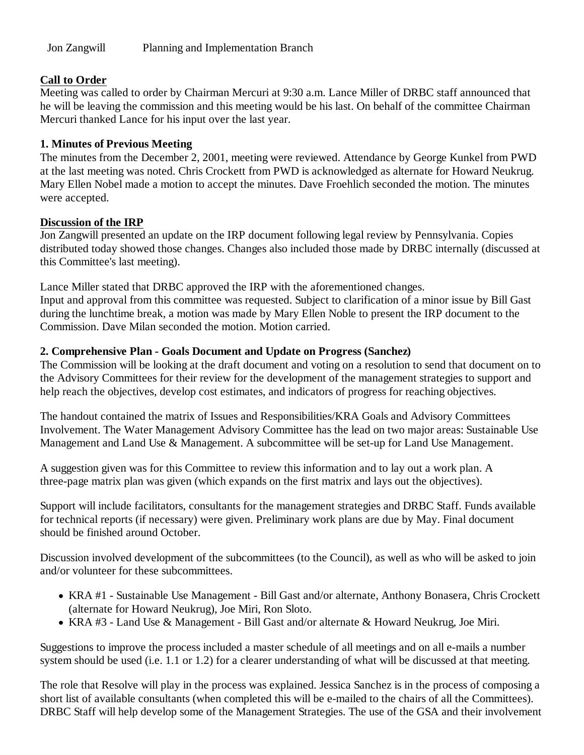# **Call to Order**

Meeting was called to order by Chairman Mercuri at 9:30 a.m. Lance Miller of DRBC staff announced that he will be leaving the commission and this meeting would be his last. On behalf of the committee Chairman Mercuri thanked Lance for his input over the last year.

### **1. Minutes of Previous Meeting**

The minutes from the December 2, 2001, meeting were reviewed. Attendance by George Kunkel from PWD at the last meeting was noted. Chris Crockett from PWD is acknowledged as alternate for Howard Neukrug. Mary Ellen Nobel made a motion to accept the minutes. Dave Froehlich seconded the motion. The minutes were accepted.

### **Discussion of the IRP**

Jon Zangwill presented an update on the IRP document following legal review by Pennsylvania. Copies distributed today showed those changes. Changes also included those made by DRBC internally (discussed at this Committee's last meeting).

Lance Miller stated that DRBC approved the IRP with the aforementioned changes.

Input and approval from this committee was requested. Subject to clarification of a minor issue by Bill Gast during the lunchtime break, a motion was made by Mary Ellen Noble to present the IRP document to the Commission. Dave Milan seconded the motion. Motion carried.

# **2. Comprehensive Plan - Goals Document and Update on Progress (Sanchez)**

The Commission will be looking at the draft document and voting on a resolution to send that document on to the Advisory Committees for their review for the development of the management strategies to support and help reach the objectives, develop cost estimates, and indicators of progress for reaching objectives.

The handout contained the matrix of Issues and Responsibilities/KRA Goals and Advisory Committees Involvement. The Water Management Advisory Committee has the lead on two major areas: Sustainable Use Management and Land Use & Management. A subcommittee will be set-up for Land Use Management.

A suggestion given was for this Committee to review this information and to lay out a work plan. A three-page matrix plan was given (which expands on the first matrix and lays out the objectives).

Support will include facilitators, consultants for the management strategies and DRBC Staff. Funds available for technical reports (if necessary) were given. Preliminary work plans are due by May. Final document should be finished around October.

Discussion involved development of the subcommittees (to the Council), as well as who will be asked to join and/or volunteer for these subcommittees.

- KRA #1 Sustainable Use Management Bill Gast and/or alternate, Anthony Bonasera, Chris Crockett (alternate for Howard Neukrug), Joe Miri, Ron Sloto.
- KRA #3 Land Use & Management Bill Gast and/or alternate & Howard Neukrug, Joe Miri.

Suggestions to improve the process included a master schedule of all meetings and on all e-mails a number system should be used (i.e. 1.1 or 1.2) for a clearer understanding of what will be discussed at that meeting.

The role that Resolve will play in the process was explained. Jessica Sanchez is in the process of composing a short list of available consultants (when completed this will be e-mailed to the chairs of all the Committees). DRBC Staff will help develop some of the Management Strategies. The use of the GSA and their involvement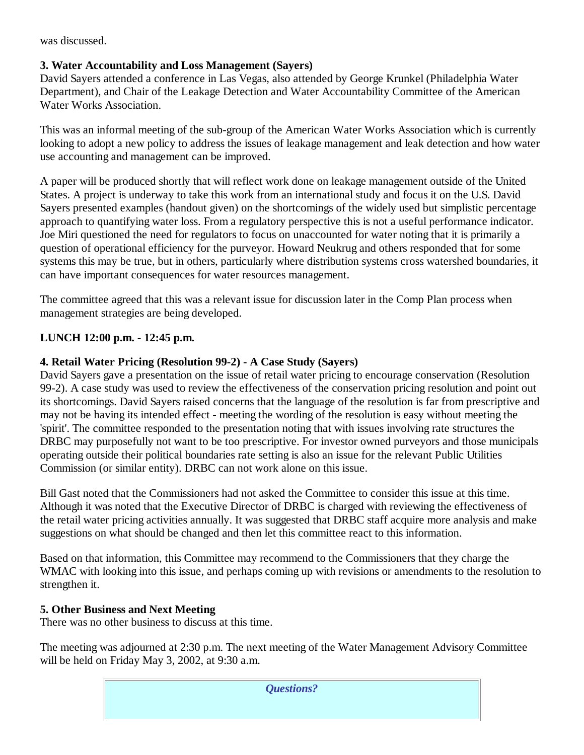was discussed.

# **3. Water Accountability and Loss Management (Sayers)**

David Sayers attended a conference in Las Vegas, also attended by George Krunkel (Philadelphia Water Department), and Chair of the Leakage Detection and Water Accountability Committee of the American Water Works Association.

This was an informal meeting of the sub-group of the American Water Works Association which is currently looking to adopt a new policy to address the issues of leakage management and leak detection and how water use accounting and management can be improved.

A paper will be produced shortly that will reflect work done on leakage management outside of the United States. A project is underway to take this work from an international study and focus it on the U.S. David Sayers presented examples (handout given) on the shortcomings of the widely used but simplistic percentage approach to quantifying water loss. From a regulatory perspective this is not a useful performance indicator. Joe Miri questioned the need for regulators to focus on unaccounted for water noting that it is primarily a question of operational efficiency for the purveyor. Howard Neukrug and others responded that for some systems this may be true, but in others, particularly where distribution systems cross watershed boundaries, it can have important consequences for water resources management.

The committee agreed that this was a relevant issue for discussion later in the Comp Plan process when management strategies are being developed.

# **LUNCH 12:00 p.m. - 12:45 p.m.**

### **4. Retail Water Pricing (Resolution 99-2) - A Case Study (Sayers)**

David Sayers gave a presentation on the issue of retail water pricing to encourage conservation (Resolution 99-2). A case study was used to review the effectiveness of the conservation pricing resolution and point out its shortcomings. David Sayers raised concerns that the language of the resolution is far from prescriptive and may not be having its intended effect - meeting the wording of the resolution is easy without meeting the 'spirit'. The committee responded to the presentation noting that with issues involving rate structures the DRBC may purposefully not want to be too prescriptive. For investor owned purveyors and those municipals operating outside their political boundaries rate setting is also an issue for the relevant Public Utilities Commission (or similar entity). DRBC can not work alone on this issue.

Bill Gast noted that the Commissioners had not asked the Committee to consider this issue at this time. Although it was noted that the Executive Director of DRBC is charged with reviewing the effectiveness of the retail water pricing activities annually. It was suggested that DRBC staff acquire more analysis and make suggestions on what should be changed and then let this committee react to this information.

Based on that information, this Committee may recommend to the Commissioners that they charge the WMAC with looking into this issue, and perhaps coming up with revisions or amendments to the resolution to strengthen it.

#### **5. Other Business and Next Meeting**

There was no other business to discuss at this time.

The meeting was adjourned at 2:30 p.m. The next meeting of the Water Management Advisory Committee will be held on Friday May 3, 2002, at 9:30 a.m.

*Questions?*